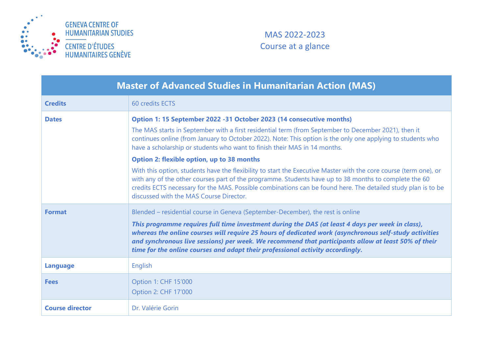

## MAS 2022-2023 Course at a glance

| <b>Master of Advanced Studies in Humanitarian Action (MAS)</b> |                                                                                                                                                                                                                                                                                                                                                                                                                                                                                                                                                                                                                                                                                                                                                                                                                          |  |
|----------------------------------------------------------------|--------------------------------------------------------------------------------------------------------------------------------------------------------------------------------------------------------------------------------------------------------------------------------------------------------------------------------------------------------------------------------------------------------------------------------------------------------------------------------------------------------------------------------------------------------------------------------------------------------------------------------------------------------------------------------------------------------------------------------------------------------------------------------------------------------------------------|--|
| <b>Credits</b>                                                 | 60 credits ECTS                                                                                                                                                                                                                                                                                                                                                                                                                                                                                                                                                                                                                                                                                                                                                                                                          |  |
| <b>Dates</b>                                                   | Option 1: 15 September 2022 - 31 October 2023 (14 consecutive months)<br>The MAS starts in September with a first residential term (from September to December 2021), then it<br>continues online (from January to October 2022). Note: This option is the only one applying to students who<br>have a scholarship or students who want to finish their MAS in 14 months.<br><b>Option 2: flexible option, up to 38 months</b><br>With this option, students have the flexibility to start the Executive Master with the core course (term one), or<br>with any of the other courses part of the programme. Students have up to 38 months to complete the 60<br>credits ECTS necessary for the MAS. Possible combinations can be found here. The detailed study plan is to be<br>discussed with the MAS Course Director. |  |
| <b>Format</b>                                                  | Blended – residential course in Geneva (September-December), the rest is online<br>This programme requires full time investment during the DAS (at least 4 days per week in class),<br>whereas the online courses will require 25 hours of dedicated work (asynchronous self-study activities<br>and synchronous live sessions) per week. We recommend that participants allow at least 50% of their<br>time for the online courses and adapt their professional activity accordingly.                                                                                                                                                                                                                                                                                                                                   |  |
| <b>Language</b>                                                | English                                                                                                                                                                                                                                                                                                                                                                                                                                                                                                                                                                                                                                                                                                                                                                                                                  |  |
| <b>Fees</b>                                                    | Option 1: CHF 15'000<br>Option 2: CHF 17'000                                                                                                                                                                                                                                                                                                                                                                                                                                                                                                                                                                                                                                                                                                                                                                             |  |
| <b>Course director</b>                                         | Dr. Valérie Gorin                                                                                                                                                                                                                                                                                                                                                                                                                                                                                                                                                                                                                                                                                                                                                                                                        |  |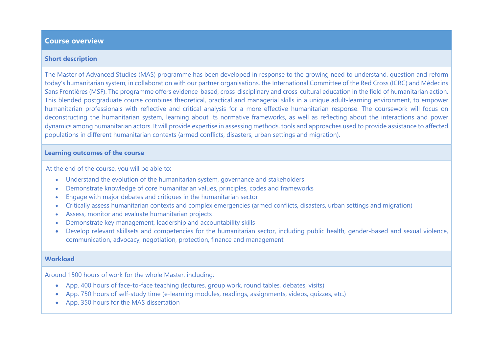### **Course overview**

#### **Short description**

The Master of Advanced Studies (MAS) programme has been developed in response to the growing need to understand, question and reform today's humanitarian system, in collaboration with our partner organisations, the International Committee of the Red Cross (ICRC) and Médecins Sans Frontières (MSF). The programme offers evidence-based, cross-disciplinary and cross-cultural education in the field of humanitarian action. This blended postgraduate course combines theoretical, practical and managerial skills in a unique adult-learning environment, to empower humanitarian professionals with reflective and critical analysis for a more effective humanitarian response. The coursework will focus on deconstructing the humanitarian system, learning about its normative frameworks, as well as reflecting about the interactions and power dynamics among humanitarian actors. It will provide expertise in assessing methods, tools and approaches used to provide assistance to affected populations in different humanitarian contexts (armed conflicts, disasters, urban settings and migration).

#### **Learning outcomes of the course**

At the end of the course, you will be able to:

- Understand the evolution of the humanitarian system, governance and stakeholders
- Demonstrate knowledge of core humanitarian values, principles, codes and frameworks
- Engage with major debates and critiques in the humanitarian sector
- Critically assess humanitarian contexts and complex emergencies (armed conflicts, disasters, urban settings and migration)
- Assess, monitor and evaluate humanitarian projects
- Demonstrate key management, leadership and accountability skills
- Develop relevant skillsets and competencies for the humanitarian sector, including public health, gender-based and sexual violence, communication, advocacy, negotiation, protection, finance and management

#### **Workload**

Around 1500 hours of work for the whole Master, including:

- App. 400 hours of face-to-face teaching (lectures, group work, round tables, debates, visits)
- App. 750 hours of self-study time (e-learning modules, readings, assignments, videos, quizzes, etc.)
- App. 350 hours for the MAS dissertation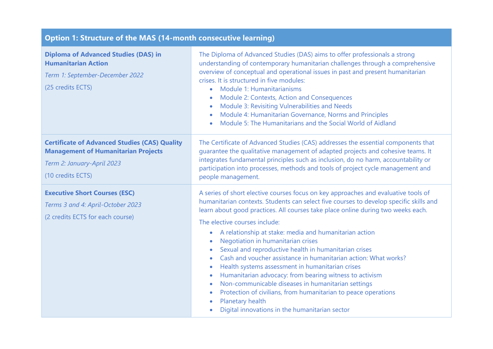# **Option 1: Structure of the MAS (14-month consecutive learning)**

| <b>Diploma of Advanced Studies (DAS) in</b><br><b>Humanitarian Action</b><br>Term 1: September-December 2022<br>(25 credits ECTS)                     | The Diploma of Advanced Studies (DAS) aims to offer professionals a strong<br>understanding of contemporary humanitarian challenges through a comprehensive<br>overview of conceptual and operational issues in past and present humanitarian<br>crises. It is structured in five modules:<br>Module 1: Humanitarianisms<br>Module 2: Contexts, Action and Consequences<br>Module 3: Revisiting Vulnerabilities and Needs<br>Module 4: Humanitarian Governance, Norms and Principles<br>Module 5: The Humanitarians and the Social World of Aidland                                                                                                                                                                                                                                                                                                     |
|-------------------------------------------------------------------------------------------------------------------------------------------------------|---------------------------------------------------------------------------------------------------------------------------------------------------------------------------------------------------------------------------------------------------------------------------------------------------------------------------------------------------------------------------------------------------------------------------------------------------------------------------------------------------------------------------------------------------------------------------------------------------------------------------------------------------------------------------------------------------------------------------------------------------------------------------------------------------------------------------------------------------------|
| <b>Certificate of Advanced Studies (CAS) Quality</b><br><b>Management of Humanitarian Projects</b><br>Term 2: January-April 2023<br>(10 credits ECTS) | The Certificate of Advanced Studies (CAS) addresses the essential components that<br>guarantee the qualitative management of adapted projects and cohesive teams. It<br>integrates fundamental principles such as inclusion, do no harm, accountability or<br>participation into processes, methods and tools of project cycle management and<br>people management.                                                                                                                                                                                                                                                                                                                                                                                                                                                                                     |
| <b>Executive Short Courses (ESC)</b><br>Terms 3 and 4: April-October 2023<br>(2 credits ECTS for each course)                                         | A series of short elective courses focus on key approaches and evaluative tools of<br>humanitarian contexts. Students can select five courses to develop specific skills and<br>learn about good practices. All courses take place online during two weeks each.<br>The elective courses include:<br>A relationship at stake: media and humanitarian action<br>Negotiation in humanitarian crises<br>Sexual and reproductive health in humanitarian crises<br>Cash and voucher assistance in humanitarian action: What works?<br>Health systems assessment in humanitarian crises<br>Humanitarian advocacy: from bearing witness to activism<br>$\bullet$<br>Non-communicable diseases in humanitarian settings<br>Protection of civilians, from humanitarian to peace operations<br>Planetary health<br>Digital innovations in the humanitarian sector |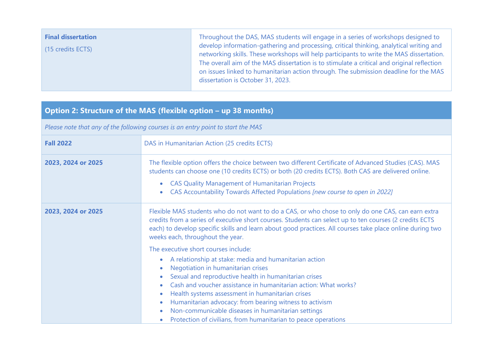| <b>Final dissertation</b><br>(15 credits ECTS) | Throughout the DAS, MAS students will engage in a series of workshops designed to<br>develop information-gathering and processing, critical thinking, analytical writing and<br>networking skills. These workshops will help participants to write the MAS dissertation.<br>The overall aim of the MAS dissertation is to stimulate a critical and original reflection<br>on issues linked to humanitarian action through. The submission deadline for the MAS<br>dissertation is October 31, 2023. |
|------------------------------------------------|-----------------------------------------------------------------------------------------------------------------------------------------------------------------------------------------------------------------------------------------------------------------------------------------------------------------------------------------------------------------------------------------------------------------------------------------------------------------------------------------------------|
|------------------------------------------------|-----------------------------------------------------------------------------------------------------------------------------------------------------------------------------------------------------------------------------------------------------------------------------------------------------------------------------------------------------------------------------------------------------------------------------------------------------------------------------------------------------|

## **Option 2: Structure of the MAS (flexible option - up 38 months)**

*Please note that any of the following courses is an entry point to start the MAS*

| <b>Fall 2022</b>   | DAS in Humanitarian Action (25 credits ECTS)                                                                                                                                                                                                                                                                                                                                                                                                                                                                                                        |  |
|--------------------|-----------------------------------------------------------------------------------------------------------------------------------------------------------------------------------------------------------------------------------------------------------------------------------------------------------------------------------------------------------------------------------------------------------------------------------------------------------------------------------------------------------------------------------------------------|--|
| 2023, 2024 or 2025 | The flexible option offers the choice between two different Certificate of Advanced Studies (CAS). MAS<br>students can choose one (10 credits ECTS) or both (20 credits ECTS). Both CAS are delivered online.<br><b>CAS Quality Management of Humanitarian Projects</b><br>$\bullet$<br>CAS Accountability Towards Affected Populations [new course to open in 2022]<br>$\bullet$                                                                                                                                                                   |  |
| 2023, 2024 or 2025 | Flexible MAS students who do not want to do a CAS, or who chose to only do one CAS, can earn extra<br>credits from a series of executive short courses. Students can select up to ten courses (2 credits ECTS<br>each) to develop specific skills and learn about good practices. All courses take place online during two<br>weeks each, throughout the year.                                                                                                                                                                                      |  |
|                    | The executive short courses include:<br>A relationship at stake: media and humanitarian action<br>$\bullet$<br>Negotiation in humanitarian crises<br>Sexual and reproductive health in humanitarian crises<br>Cash and voucher assistance in humanitarian action: What works?<br>۰<br>Health systems assessment in humanitarian crises<br>Humanitarian advocacy: from bearing witness to activism<br>$\bullet$<br>Non-communicable diseases in humanitarian settings<br>$\bullet$<br>Protection of civilians, from humanitarian to peace operations |  |